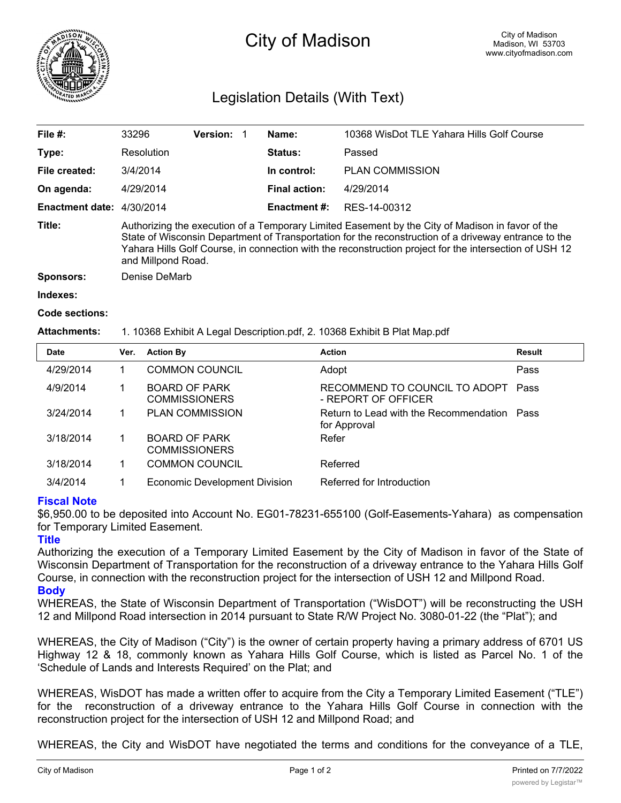

# City of Madison

# Legislation Details (With Text)

| File $#$ :                | 33296                                                                                                                                                                                                                                                                                                                                    | <b>Version:</b> |  | Name:               | 10368 WisDot TLE Yahara Hills Golf Course |  |
|---------------------------|------------------------------------------------------------------------------------------------------------------------------------------------------------------------------------------------------------------------------------------------------------------------------------------------------------------------------------------|-----------------|--|---------------------|-------------------------------------------|--|
| Type:                     | Resolution                                                                                                                                                                                                                                                                                                                               |                 |  | <b>Status:</b>      | Passed                                    |  |
| File created:             | 3/4/2014                                                                                                                                                                                                                                                                                                                                 |                 |  | In control:         | <b>PLAN COMMISSION</b>                    |  |
| On agenda:                | 4/29/2014                                                                                                                                                                                                                                                                                                                                |                 |  | Final action:       | 4/29/2014                                 |  |
| Enactment date: 4/30/2014 |                                                                                                                                                                                                                                                                                                                                          |                 |  | <b>Enactment #:</b> | RES-14-00312                              |  |
| Title:                    | Authorizing the execution of a Temporary Limited Easement by the City of Madison in favor of the<br>State of Wisconsin Department of Transportation for the reconstruction of a driveway entrance to the<br>Yahara Hills Golf Course, in connection with the reconstruction project for the intersection of USH 12<br>and Millpond Road. |                 |  |                     |                                           |  |
| Sponsors:                 | Denise DeMarb                                                                                                                                                                                                                                                                                                                            |                 |  |                     |                                           |  |

#### **Indexes:**

#### **Code sections:**

# **Attachments:** 1. 10368 Exhibit A Legal Description.pdf, 2. 10368 Exhibit B Plat Map.pdf

| <b>Date</b> | <b>Action By</b><br>Ver. |                                              | <b>Action</b>                                               | Result |
|-------------|--------------------------|----------------------------------------------|-------------------------------------------------------------|--------|
| 4/29/2014   |                          | <b>COMMON COUNCIL</b>                        | Adopt                                                       | Pass   |
| 4/9/2014    |                          | <b>BOARD OF PARK</b><br><b>COMMISSIONERS</b> | RECOMMEND TO COUNCIL TO ADOPT<br>- REPORT OF OFFICER        | Pass   |
| 3/24/2014   |                          | <b>PLAN COMMISSION</b>                       | Return to Lead with the Recommendation Pass<br>for Approval |        |
| 3/18/2014   |                          | <b>BOARD OF PARK</b><br><b>COMMISSIONERS</b> | Refer                                                       |        |
| 3/18/2014   |                          | <b>COMMON COUNCIL</b>                        | Referred                                                    |        |
| 3/4/2014    |                          | Economic Development Division                | Referred for Introduction                                   |        |

# **Fiscal Note**

\$6,950.00 to be deposited into Account No. EG01-78231-655100 (Golf-Easements-Yahara) as compensation for Temporary Limited Easement.

# **Title**

Authorizing the execution of a Temporary Limited Easement by the City of Madison in favor of the State of Wisconsin Department of Transportation for the reconstruction of a driveway entrance to the Yahara Hills Golf Course, in connection with the reconstruction project for the intersection of USH 12 and Millpond Road.

### **Body**

WHEREAS, the State of Wisconsin Department of Transportation ("WisDOT") will be reconstructing the USH 12 and Millpond Road intersection in 2014 pursuant to State R/W Project No. 3080-01-22 (the "Plat"); and

WHEREAS, the City of Madison ("City") is the owner of certain property having a primary address of 6701 US Highway 12 & 18, commonly known as Yahara Hills Golf Course, which is listed as Parcel No. 1 of the 'Schedule of Lands and Interests Required' on the Plat; and

WHEREAS, WisDOT has made a written offer to acquire from the City a Temporary Limited Easement ("TLE") for the reconstruction of a driveway entrance to the Yahara Hills Golf Course in connection with the reconstruction project for the intersection of USH 12 and Millpond Road; and

WHEREAS, the City and WisDOT have negotiated the terms and conditions for the conveyance of a TLE,